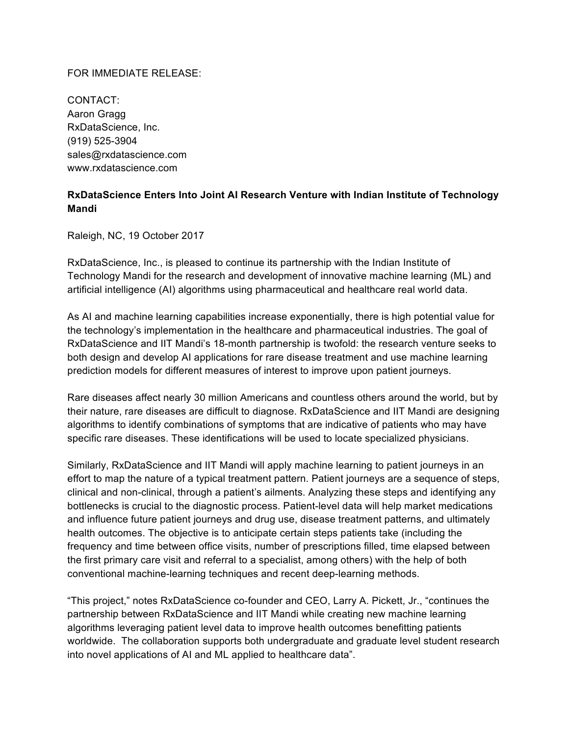## FOR IMMEDIATE RELEASE:

CONTACT: Aaron Gragg RxDataScience, Inc. (919) 525-3904 sales@rxdatascience.com www.rxdatascience.com

## **RxDataScience Enters Into Joint AI Research Venture with Indian Institute of Technology Mandi**

Raleigh, NC, 19 October 2017

RxDataScience, Inc., is pleased to continue its partnership with the Indian Institute of Technology Mandi for the research and development of innovative machine learning (ML) and artificial intelligence (AI) algorithms using pharmaceutical and healthcare real world data.

As AI and machine learning capabilities increase exponentially, there is high potential value for the technology's implementation in the healthcare and pharmaceutical industries. The goal of RxDataScience and IIT Mandi's 18-month partnership is twofold: the research venture seeks to both design and develop AI applications for rare disease treatment and use machine learning prediction models for different measures of interest to improve upon patient journeys.

Rare diseases affect nearly 30 million Americans and countless others around the world, but by their nature, rare diseases are difficult to diagnose. RxDataScience and IIT Mandi are designing algorithms to identify combinations of symptoms that are indicative of patients who may have specific rare diseases. These identifications will be used to locate specialized physicians.

Similarly, RxDataScience and IIT Mandi will apply machine learning to patient journeys in an effort to map the nature of a typical treatment pattern. Patient journeys are a sequence of steps, clinical and non-clinical, through a patient's ailments. Analyzing these steps and identifying any bottlenecks is crucial to the diagnostic process. Patient-level data will help market medications and influence future patient journeys and drug use, disease treatment patterns, and ultimately health outcomes. The objective is to anticipate certain steps patients take (including the frequency and time between office visits, number of prescriptions filled, time elapsed between the first primary care visit and referral to a specialist, among others) with the help of both conventional machine-learning techniques and recent deep-learning methods.

"This project," notes RxDataScience co-founder and CEO, Larry A. Pickett, Jr., "continues the partnership between RxDataScience and IIT Mandi while creating new machine learning algorithms leveraging patient level data to improve health outcomes benefitting patients worldwide. The collaboration supports both undergraduate and graduate level student research into novel applications of AI and ML applied to healthcare data".